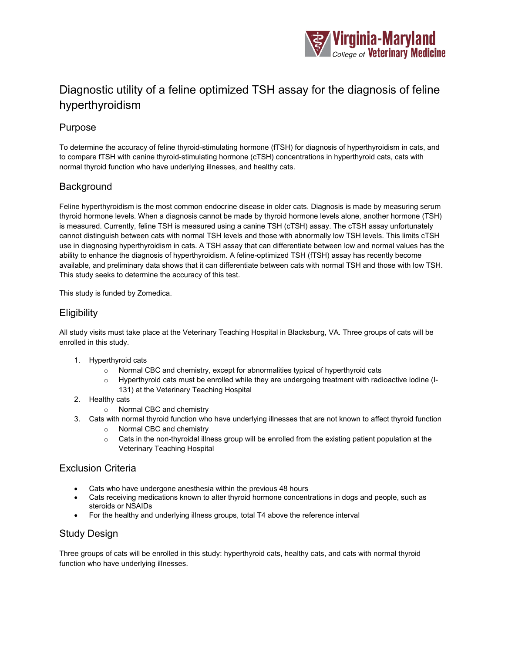

# Diagnostic utility of a feline optimized TSH assay for the diagnosis of feline hyperthyroidism

## Purpose

To determine the accuracy of feline thyroid-stimulating hormone (fTSH) for diagnosis of hyperthyroidism in cats, and to compare fTSH with canine thyroid-stimulating hormone (cTSH) concentrations in hyperthyroid cats, cats with normal thyroid function who have underlying illnesses, and healthy cats.

# **Background**

Feline hyperthyroidism is the most common endocrine disease in older cats. Diagnosis is made by measuring serum thyroid hormone levels. When a diagnosis cannot be made by thyroid hormone levels alone, another hormone (TSH) is measured. Currently, feline TSH is measured using a canine TSH (cTSH) assay. The cTSH assay unfortunately cannot distinguish between cats with normal TSH levels and those with abnormally low TSH levels. This limits cTSH use in diagnosing hyperthyroidism in cats. A TSH assay that can differentiate between low and normal values has the ability to enhance the diagnosis of hyperthyroidism. A feline-optimized TSH (fTSH) assay has recently become available, and preliminary data shows that it can differentiate between cats with normal TSH and those with low TSH. This study seeks to determine the accuracy of this test.

This study is funded by Zomedica.

## **Eligibility**

All study visits must take place at the Veterinary Teaching Hospital in Blacksburg, VA. Three groups of cats will be enrolled in this study.

- 1. Hyperthyroid cats
	- o Normal CBC and chemistry, except for abnormalities typical of hyperthyroid cats
	- o Hyperthyroid cats must be enrolled while they are undergoing treatment with radioactive iodine (I-131) at the Veterinary Teaching Hospital
- 2. Healthy cats
	- o Normal CBC and chemistry
- 3. Cats with normal thyroid function who have underlying illnesses that are not known to affect thyroid function
	- o Normal CBC and chemistry
	- o Cats in the non-thyroidal illness group will be enrolled from the existing patient population at the Veterinary Teaching Hospital

## Exclusion Criteria

- Cats who have undergone anesthesia within the previous 48 hours
- Cats receiving medications known to alter thyroid hormone concentrations in dogs and people, such as steroids or NSAIDs
- For the healthy and underlying illness groups, total T4 above the reference interval

## Study Design

Three groups of cats will be enrolled in this study: hyperthyroid cats, healthy cats, and cats with normal thyroid function who have underlying illnesses.